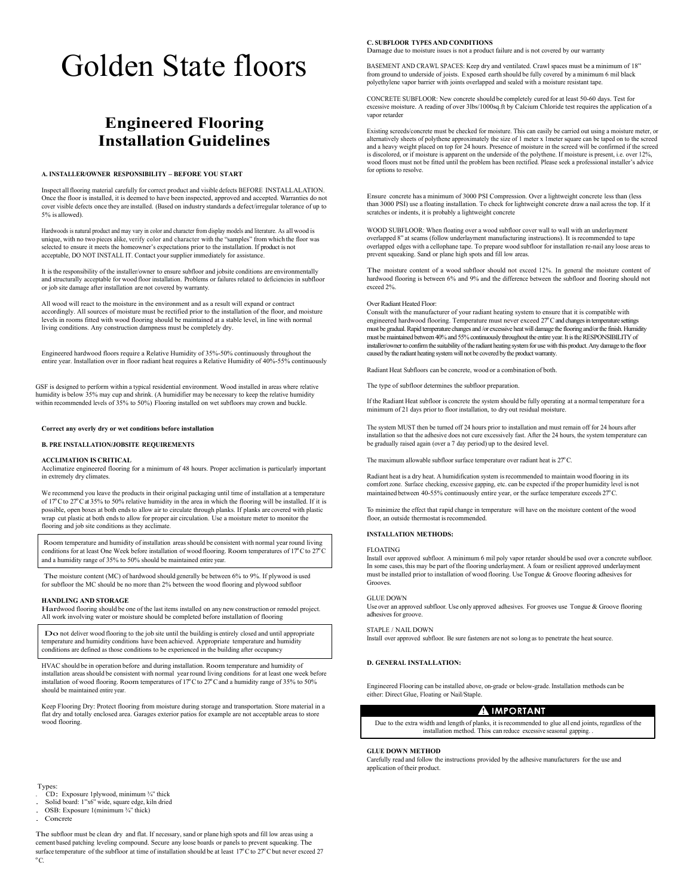# Golden State floors

# **Engineered Flooring Installation Guidelines**

#### **A. INSTALLER/OWNER RESPONSIBILITY – BEFORE YOU START**

Inspect allflooring material carefully for correct product and visible defects BEFORE INSTALLALATION. Once the floor is installed, it is deemed to have been inspected, approved and accepted. Warranties do not cover visible defects once they are installed. (Based on industry standards a defect/irregular tolerance of up to 5% is allowed).

Hardwoods is natural product and may vary in color and character from display models and literature. As all wood is unique, with no two pieces alike, verify color and character with the "samples" from which the floor was selected to ensure it meets the homeowner's expectations prior to the installation. If product is not acceptable, DO NOT INSTALL IT. Contact yoursupplier immediately for assistance.

It isthe responsibility of the installer/owner to ensure subfloor and jobsite conditions are environmentally and structurally acceptable for wood floor installation. Problems or failures related to deficiencies in subfloor or job site damage after installation are not covered by warranty.

All wood will react to the moisture in the environment and as a result will expand or contract accordingly. All sources of moisture must be rectified prior to the installation of the floor, and moisture levels in rooms fitted with wood flooring should be maintained at a stable level, in line with normal living conditions. Any construction dampness must be completely dry.

Engineered hardwood floors require a Relative Humidity of 35%-50% continuously throughout the entire year. Installation over in floor radiant heat requires a Relative Humidity of 40%-55% continuously

GSF is designed to perform within a typical residential environment. Wood installed in areas where relative humidity is below 35% may cup and shrink. (A humidifier may be necessary to keep the relative humidity within recommended levels of 35% to 50%) Flooring installed on wet subfloors may crown and buckle.

#### **Correct any overly dry or wet conditions before installation**

#### **B. PRE INSTALLATION/JOBSITE REQUIREMENTS**

#### **ACCLIMATION IS CRITICAL**

Acclimatize engineered flooring for a minimum of 48 hours. Proper acclimation is particularly important in extremely dry climates.

We recommend you leave the products in their original packaging until time of installation at a temperature of 17ºC to 27ºCat 35% to 50% relative humidity in the area in which the flooring will be installed. If it is possible, open boxes at both endsto allow air to circulate through planks. If planks are covered with plastic wrap cut plastic at both ends to allow for proper air circulation. Use a moisture meter to monitor the flooring and job site conditions as they acclimate.

Room temperature and humidity of installation areas should be consistent with normal year round living conditions for at least One Week before installation of wood flooring. Room temperatures of 17ºC to 27ºC and a humidity range of 35% to 50% should be maintained entire year.

The moisture content (MC) of hardwood should generally be between 6% to 9%. If plywood is used for subfloor the MC should be no more than 2% between the wood flooring and plywood subfloor

#### **HANDLING AND STORAGE**

Hardwood flooring should be one of the last items installed on any new construction or remodel project. All work involving water or moisture should be completed before installation of flooring

Do not deliver wood flooring to the job site until the building is entirely closed and until appropriate temperature and humidity conditions have been achieved. Appropriate temperature and humidity conditions are defined as those conditions to be experienced in the building after occupancy

HVAC should be in operation before and during installation. Room temperature and humidity of installation areas should be consistent with normal year round living conditions for at least one week before installation of wood flooring. Room temperatures of 17ºC to 27ºCand a humidity range of 35% to 50% should be maintained entire year.

Keep Flooring Dry: Protect flooring from moisture during storage and transportation. Store material in a flat dry and totally enclosed area. Garages exterior patios for example are not acceptable areas to store wood flooring.

#### **Types**

. CD: Exposure 1plywood, minimum ¾" thick

. Solid board: 1"x6" wide, square edge, kiln dried . OSB: Exposure 1(minimum <sup>¾</sup>" thick)

Concret

The subfloor must be clean dry and flat. If necessary, sand or plane high spots and fill low areas using a cement based patching leveling compound. Secure any loose boards or panels to prevent squeaking. The surface temperature of the subfloor at time of installation should be at least 17°C to 27°C but never exceed 27 ºC.

#### **C. SUBFLOOR TYPES AND CONDITIONS**

Damage due to moisture issues is not a product failure and is not covered by our warranty

BASEMENT AND CRAWL SPACES: Keep dry and ventilated. Crawl spaces must be a minimum of 18" from ground to underside of joists. Exposed earth should be fully covered by a minimum 6 mil black polyethylene vapor barrier with joints overlapped and sealed with a moisture resistant tape.

CONCRETE SUBFLOOR: New concrete should be completely cured for at least 50-60 days. Test for excessive moisture. A reading of over 3lbs/1000sq.ft by Calcium Chloride test requires the application of a vapor retarder

Existing screeds/concrete must be checked for moisture. This can easily be carried out using a moisture meter, or alternatively sheets of polythene approximately the size of 1 meter x 1meter square can be taped on to the screed and a heavy weight placed on top for 24 hours. Presence of moisture in the screed will be confirmed if the screed is discolored, or if moisture is apparent on the underside of the polythene. If moisture is present, i.e. over 12%, wood floors must not be fitted until the problem has been rectified. Please seek a professional installer's advice for options to resolve.

Ensure concrete has a minimum of 3000 PSI Compression. Over a lightweight concrete less than (less than 3000 PSI) use a floating installation. To check for lightweight concrete draw a nail across the top. If it scratches or indents, it is probably a lightweight concrete

WOOD SUBFLOOR: When floating over a wood subfloor cover wall to wall with an underlayment overlapped 8" at seams (follow underlayment manufacturing instructions). It isrecommended to tape overlapped edges with a cellophane tape. To prepare wood subfloor for installation re-nail any loose areas to prevent squeaking. Sand or plane high spots and fill low areas.

The moisture content of a wood subfloor should not exceed 12%. In general the moisture content of hardwood flooring is between 6% and 9% and the difference between the subfloor and flooring should not exceed 2%.

#### Over Radiant Heated Floor:

Consult with the manufacturer of your radiant heating system to ensure that it is compatible with engineered hardwood flooring. Temperature must never exceed 27ºCand changes in temperature settings must be gradual. Rapid temperature changes and /or excessive heat will damage the flooring and/or the finish. Humidity must be maintained between 40% and 55% continuously throughout the entire year. It is the RESPONSIBILITY of installer/owner to confirm the suitability of the radiant heating system for use with this product. Any damage to the floor caused by the radiant heating system will not be covered by the product warranty.

Radiant Heat Subfloors can be concrete, wood or a combination of both.

The type of subfloor determines the subfloor preparation.

If the Radiant Heat subfloor is concrete the system should be fully operating at a normal temperature for a minimum of 21 days prior to floor installation, to dry out residual moisture.

The system MUST then be turned off 24 hours prior to installation and must remain off for 24 hours after installation so that the adhesive does not cure excessively fast. After the 24 hours, the system temperature can be gradually raised again (over a 7 day period) up to the desired level.

The maximum allowable subfloor surface temperature over radiant heat is 27ºC.

Radiant heat is a dry heat. A humidification system isrecommended to maintain wood flooring in its comfort zone. Surface checking, excessive gapping, etc. can be expected if the proper humidity level is not maintained between 40-55% continuously entire year, or the surface temperature exceeds 27ºC.

To minimize the effect that rapid change in temperature will have on the moisture content of the wood floor, an outside thermostat is recommended.

#### **INSTALLATION METHODS:**

#### FLOATING

Install over approved subfloor. A minimum 6 mil poly vapor retarder should be used over a concrete subfloor. In some cases, this may be part of the flooring underlayment. A foam or resilient approved underlayment must be installed prior to installation of wood flooring. Use Tongue & Groove flooring adhesives for Grooves.

## GLUE DOWN

Use over an approved subfloor. Use only approved adhesives. For grooves use Tongue & Groove flooring adhesives for groove.

#### STAPLE / NAIL DOWN

Install over approved subfloor. Be sure fasteners are not so long as to penetrate the heat source.

#### **D. GENERAL INSTALLATION:**

Engineered Flooring can be installed above, on-grade or below-grade. Installation methods can be either: Direct Glue, Floating or Nail/Staple.

#### A IMPORTANT

Due to the extra width and length of planks, it isrecommended to glue all end joints, regardless of the installation method. This can reduce excessive seasonal gapping.

#### **GLUE DOWN METHOD**

Carefully read and follow the instructions provided by the adhesive manufacturers for the use and application of their product.